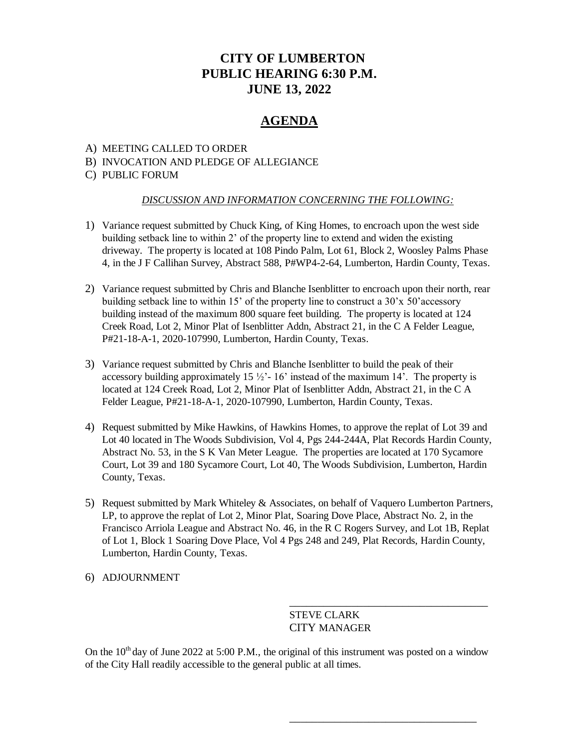# **CITY OF LUMBERTON PUBLIC HEARING 6:30 P.M. JUNE 13, 2022**

## **AGENDA**

#### A) MEETING CALLED TO ORDER

#### B) INVOCATION AND PLEDGE OF ALLEGIANCE

#### C) PUBLIC FORUM

#### *DISCUSSION AND INFORMATION CONCERNING THE FOLLOWING:*

- 1) Variance request submitted by Chuck King, of King Homes, to encroach upon the west side building setback line to within 2' of the property line to extend and widen the existing driveway. The property is located at 108 Pindo Palm, Lot 61, Block 2, Woosley Palms Phase 4, in the J F Callihan Survey, Abstract 588, P#WP4-2-64, Lumberton, Hardin County, Texas.
- 2) Variance request submitted by Chris and Blanche Isenblitter to encroach upon their north, rear building setback line to within 15' of the property line to construct a 30'x 50'accessory building instead of the maximum 800 square feet building. The property is located at 124 Creek Road, Lot 2, Minor Plat of Isenblitter Addn, Abstract 21, in the C A Felder League, P#21-18-A-1, 2020-107990, Lumberton, Hardin County, Texas.
- 3) Variance request submitted by Chris and Blanche Isenblitter to build the peak of their accessory building approximately 15  $\frac{1}{2}$  - 16' instead of the maximum 14'. The property is located at 124 Creek Road, Lot 2, Minor Plat of Isenblitter Addn, Abstract 21, in the C A Felder League, P#21-18-A-1, 2020-107990, Lumberton, Hardin County, Texas.
- 4) Request submitted by Mike Hawkins, of Hawkins Homes, to approve the replat of Lot 39 and Lot 40 located in The Woods Subdivision, Vol 4, Pgs 244-244A, Plat Records Hardin County, Abstract No. 53, in the S K Van Meter League. The properties are located at 170 Sycamore Court, Lot 39 and 180 Sycamore Court, Lot 40, The Woods Subdivision, Lumberton, Hardin County, Texas.
- 5) Request submitted by Mark Whiteley & Associates, on behalf of Vaquero Lumberton Partners, LP, to approve the replat of Lot 2, Minor Plat, Soaring Dove Place, Abstract No. 2, in the Francisco Arriola League and Abstract No. 46, in the R C Rogers Survey, and Lot 1B, Replat of Lot 1, Block 1 Soaring Dove Place, Vol 4 Pgs 248 and 249, Plat Records, Hardin County, Lumberton, Hardin County, Texas.
- 6) ADJOURNMENT

### STEVE CLARK CITY MANAGER

\_\_\_\_\_\_\_\_\_\_\_\_\_\_\_\_\_\_\_\_\_\_\_\_\_\_\_\_\_\_\_\_\_\_\_

\_\_\_\_\_\_\_\_\_\_\_\_\_\_\_\_\_\_\_\_\_\_\_\_\_\_\_\_\_\_\_\_\_

On the  $10<sup>th</sup>$  day of June 2022 at 5:00 P.M., the original of this instrument was posted on a window of the City Hall readily accessible to the general public at all times.